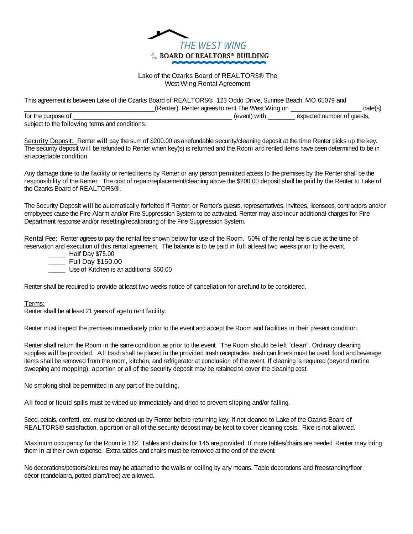

## Lake of the Ozarks Board of REALTORS® The West Wing Rental Agreement

This agreement is between Lake of the Ozarks Board of REALTORS®, 123 Oddo Drive, Sunrise Beach, MO 65079 and \_\_\_\_\_\_\_\_\_\_\_\_\_\_\_\_\_\_\_\_\_\_\_\_\_\_\_\_\_\_\_\_\_\_\_\_\_\_\_(Renter). Renter agrees to rent The West Wing on \_\_\_\_\_\_\_\_\_\_\_\_\_\_\_\_\_\_\_\_\_ date(s)

|                                                | $\frac{1}{2}$ | $-$                        |
|------------------------------------------------|---------------|----------------------------|
| for the purpose of                             | event)        | expected number of quests, |
| subject to the following terms and conditions: |               |                            |

Security Deposit: Renter will pay the sum of \$200.00 as a refundable security/cleaning deposit at the time Renter picks up the key. The security deposit will be refunded to Renter when key(s) is returned and the Room and rented items have been determined to be in an acceptable condition.

Any damage done to the facility or rented items by Renter or any person permitted access to the premises by the Renter shall be the responsibility of the Renter. The cost of repair/replacement/cleaning above the \$200.00 deposit shall be paid by the Renter to Lake of the Ozarks Board of REALTORS®.

The Security Deposit will be automatically forfeited if Renter, or Renter's guests, representatives, invitees, licensees, contractors and/or employees cause the Fire Alarm and/or Fire Suppression System to be activated. Renter may also incur additional charges for Fire Department response and/or resetting/recalibrating of the Fire Suppression System.

Rental Fee: Renter agrees to pay the rental fee shown below for use of the Room. 50% of the rental fee is due at the time of reservation and execution of this rental agreement. The balance is to be paid in full at least two weeks prior to the event.

\_\_\_\_\_ Half Day \$75.00

\_\_\_\_\_ Full Day \$150.00

Use of Kitchen is an additional \$50.00

Renter shall be required to provide at least two weeks notice of cancellation for arefund to be considered.

Terms:

Renter shall be at least 21 years of age to rent facility.

Renter must inspect the premises immediately prior to the event and accept the Room and facilities in their present condition.

Renter shall return the Room in the same condition asprior to the event. The Room should be left "clean". Ordinary cleaning supplies will be provided. All trash shall be placed in the provided trash receptacles, trash can liners must be used; food and beverage items shall be removed from the room, kitchen, and refrigerator at conclusion of the event. If cleaning is required (beyond routine sweeping and mopping), aportion or all of the security deposit may be retained to cover the cleaning cost.

No smoking shall be permitted in any part of the building.

All food or liquid spills must be wiped up immediately and dried to prevent slipping and/or falling.

Seed, petals, confetti, etc. must be cleaned up by Renter before returning key. If not cleaned to Lake of the Ozarks Board of REALTORS® satisfaction, aportion or all of the security deposit may be kept to cover cleaning costs. Rice is not allowed.

Maximum occupancy for the Room is 162. Tables and chairs for 145 are provided. If more tables/chairs are needed, Renter may bring them in at their own expense. Extra tables and chairs must be removed at the end of the event.

No decorations/posters/pictures may be attached to the walls or ceiling by any means. Table decorations and freestanding/floor décor (candelabra, potted plant/tree) are allowed.